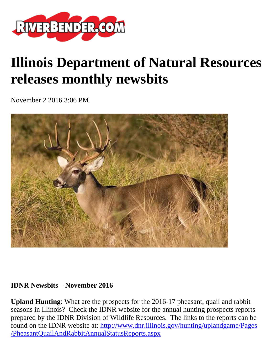

## **Illinois Department of Natural Resources releases monthly newsbits**

November 2 2016 3:06 PM



## **IDNR Newsbits – November 2016**

**Upland Hunting**: What are the prospects for the 2016-17 pheasant, quail and rabbit seasons in Illinois? Check the IDNR website for the annual hunting prospects reports prepared by the IDNR Division of Wildlife Resources. The links to the reports can be found on the IDNR website at: [http://www.dnr.illinois.gov/hunting/uplandgame/Pages](http://www.dnr.illinois.gov/hunting/uplandgame/Pages/PheasantQuailAndRabbitAnnualStatusReports.aspx) [/PheasantQuailAndRabbitAnnualStatusReports.aspx](http://www.dnr.illinois.gov/hunting/uplandgame/Pages/PheasantQuailAndRabbitAnnualStatusReports.aspx)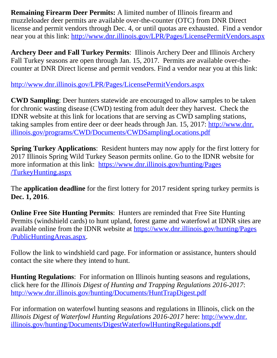**Remaining Firearm Deer Permits:** A limited number of Illinois firearm and muzzleloader deer permits are available over-the-counter (OTC) from DNR Direct license and permit vendors through Dec. 4, or until quotas are exhausted. Find a vendor near you at this link:<http://www.dnr.illinois.gov/LPR/Pages/LicensePermitVendors.aspx>

**Archery Deer and Fall Turkey Permits**: Illinois Archery Deer and Illinois Archery Fall Turkey seasons are open through Jan. 15, 2017. Permits are available over-thecounter at DNR Direct license and permit vendors. Find a vendor near you at this link:

<http://www.dnr.illinois.gov/LPR/Pages/LicensePermitVendors.aspx>

**CWD Sampling**: Deer hunters statewide are encouraged to allow samples to be taken for chronic wasting disease (CWD) testing from adult deer they harvest. Check the IDNR website at this link for locations that are serving as CWD sampling stations, taking samples from entire deer or deer heads through Jan. 15, 2017: [http://www.dnr.](http://www.dnr.illinois.gov/programs/CWD/Documents/CWDSamplingLocations.pdf) [illinois.gov/programs/CWD/Documents/CWDSamplingLocations.pdf](http://www.dnr.illinois.gov/programs/CWD/Documents/CWDSamplingLocations.pdf)

**Spring Turkey Applications**: Resident hunters may now apply for the first lottery for 2017 Illinois Spring Wild Turkey Season permits online. Go to the IDNR website for more information at this link: [https://www.dnr.illinois.gov/hunting/Pages](https://www.dnr.illinois.gov/hunting/Pages/TurkeyHunting.aspx) [/TurkeyHunting.aspx](https://www.dnr.illinois.gov/hunting/Pages/TurkeyHunting.aspx)

The **application deadline** for the first lottery for 2017 resident spring turkey permits is **Dec. 1, 2016**.

**Online Free Site Hunting Permits:** Hunters are reminded that Free Site Hunting Permits (windshield cards) to hunt upland, forest game and waterfowl at IDNR sites are available online from the IDNR website at [https://www.dnr.illinois.gov/hunting/Pages](https://www.dnr.illinois.gov/hunting/Pages/PublicHuntingAreas.aspx) [/PublicHuntingAreas.aspx.](https://www.dnr.illinois.gov/hunting/Pages/PublicHuntingAreas.aspx)

Follow the link to windshield card page. For information or assistance, hunters should contact the site where they intend to hunt.

**Hunting Regulations**: For information on Illinois hunting seasons and regulations, click here for the *Illinois Digest of Hunting and Trapping Regulations 2016-2017*: <http://www.dnr.illinois.gov/hunting/Documents/HuntTrapDigest.pdf>

For information on waterfowl hunting seasons and regulations in Illinois, click on the *Illinois Digest of Waterfowl Hunting Regulations 2016-2017* here: [http://www.dnr.](http://www.dnr.illinois.gov/hunting/Documents/DigestWaterfowlHuntingRegulations.pdf) [illinois.gov/hunting/Documents/DigestWaterfowlHuntingRegulations.pdf](http://www.dnr.illinois.gov/hunting/Documents/DigestWaterfowlHuntingRegulations.pdf)